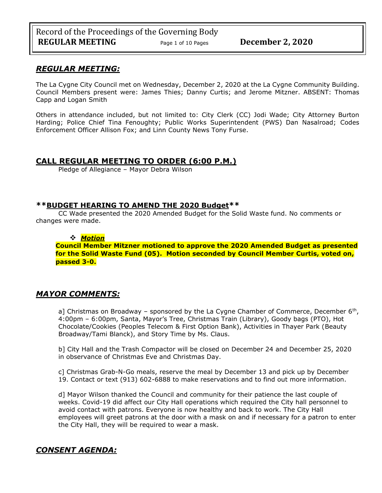# *REGULAR MEETING:*

The La Cygne City Council met on Wednesday, December 2, 2020 at the La Cygne Community Building. Council Members present were: James Thies; Danny Curtis; and Jerome Mitzner. ABSENT: Thomas Capp and Logan Smith

Others in attendance included, but not limited to: City Clerk (CC) Jodi Wade; City Attorney Burton Harding; Police Chief Tina Fenoughty; Public Works Superintendent (PWS) Dan Nasalroad; Codes Enforcement Officer Allison Fox; and Linn County News Tony Furse.

# **CALL REGULAR MEETING TO ORDER (6:00 P.M.)**

Pledge of Allegiance – Mayor Debra Wilson

# **\*\*BUDGET HEARING TO AMEND THE 2020 Budget\*\***

CC Wade presented the 2020 Amended Budget for the Solid Waste fund. No comments or changes were made.

## ❖ *Motion*  **Council Member Mitzner motioned to approve the 2020 Amended Budget as presented for the Solid Waste Fund (05). Motion seconded by Council Member Curtis, voted on, passed 3-0.**

# *MAYOR COMMENTS:*

a] Christmas on Broadway – sponsored by the La Cygne Chamber of Commerce, December  $6<sup>th</sup>$ , 4:00pm – 6:00pm, Santa, Mayor's Tree, Christmas Train (Library), Goody bags (PTO), Hot Chocolate/Cookies (Peoples Telecom & First Option Bank), Activities in Thayer Park (Beauty Broadway/Tami Blanck), and Story Time by Ms. Claus.

b] City Hall and the Trash Compactor will be closed on December 24 and December 25, 2020 in observance of Christmas Eve and Christmas Day.

c] Christmas Grab-N-Go meals, reserve the meal by December 13 and pick up by December 19. Contact or text (913) 602-6888 to make reservations and to find out more information.

d] Mayor Wilson thanked the Council and community for their patience the last couple of weeks. Covid-19 did affect our City Hall operations which required the City hall personnel to avoid contact with patrons. Everyone is now healthy and back to work. The City Hall employees will greet patrons at the door with a mask on and if necessary for a patron to enter the City Hall, they will be required to wear a mask.

# *CONSENT AGENDA:*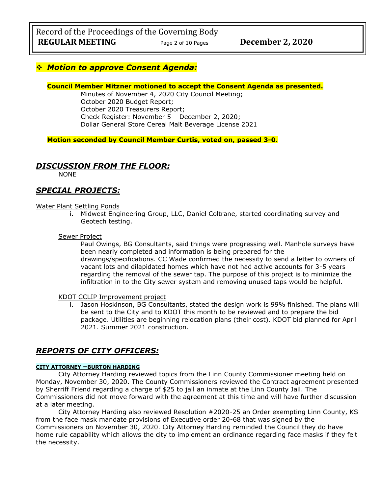# ❖ *Motion to approve Consent Agenda:*

## **Council Member Mitzner motioned to accept the Consent Agenda as presented.**

Minutes of November 4, 2020 City Council Meeting; October 2020 Budget Report; October 2020 Treasurers Report; Check Register: November 5 – December 2, 2020; Dollar General Store Cereal Malt Beverage License 2021

**Motion seconded by Council Member Curtis, voted on, passed 3-0.** 

# *DISCUSSION FROM THE FLOOR:*

NONE

# *SPECIAL PROJECTS:*

### Water Plant Settling Ponds

i. Midwest Engineering Group, LLC, Daniel Coltrane, started coordinating survey and Geotech testing.

### Sewer Project

Paul Owings, BG Consultants, said things were progressing well. Manhole surveys have been nearly completed and information is being prepared for the drawings/specifications. CC Wade confirmed the necessity to send a letter to owners of vacant lots and dilapidated homes which have not had active accounts for 3-5 years regarding the removal of the sewer tap. The purpose of this project is to minimize the infiltration in to the City sewer system and removing unused taps would be helpful.

#### KDOT CCLIP Improvement project

i. Jason Hoskinson, BG Consultants, stated the design work is 99% finished. The plans will be sent to the City and to KDOT this month to be reviewed and to prepare the bid package. Utilities are beginning relocation plans (their cost). KDOT bid planned for April 2021. Summer 2021 construction.

# *REPORTS OF CITY OFFICERS:*

## **CITY ATTORNEY –BURTON HARDING**

City Attorney Harding reviewed topics from the Linn County Commissioner meeting held on Monday, November 30, 2020. The County Commissioners reviewed the Contract agreement presented by Sherriff Friend regarding a charge of \$25 to jail an inmate at the Linn County Jail. The Commissioners did not move forward with the agreement at this time and will have further discussion at a later meeting.

City Attorney Harding also reviewed Resolution #2020-25 an Order exempting Linn County, KS from the face mask mandate provisions of Executive order 20-68 that was signed by the Commissioners on November 30, 2020. City Attorney Harding reminded the Council they do have home rule capability which allows the city to implement an ordinance regarding face masks if they felt the necessity.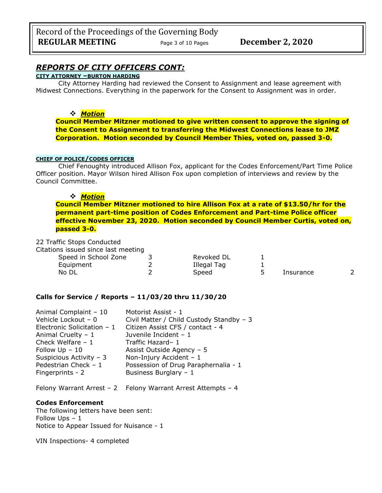# *REPORTS OF CITY OFFICERS CONT:*

# **CITY ATTORNEY –BURTON HARDING**

City Attorney Harding had reviewed the Consent to Assignment and lease agreement with Midwest Connections. Everything in the paperwork for the Consent to Assignment was in order.

### ❖ *Motion*

**Council Member Mitzner motioned to give written consent to approve the signing of the Consent to Assignment to transferring the Midwest Connections lease to JMZ Corporation. Motion seconded by Council Member Thies, voted on, passed 3-0.**

#### **CHIEF OF POLICE/CODES OFFICER**

Chief Fenoughty introduced Allison Fox, applicant for the Codes Enforcement/Part Time Police Officer position. Mayor Wilson hired Allison Fox upon completion of interviews and review by the Council Committee.

### ❖ *Motion*

**Council Member Mitzner motioned to hire Allison Fox at a rate of \$13.50/hr for the permanent part-time position of Codes Enforcement and Part-time Police officer effective November 23, 2020. Motion seconded by Council Member Curtis, voted on, passed 3-0.**

22 Traffic Stops Conducted

Citations issued since last meeting

| Speed in School Zone | Revoked DL  |           |   |
|----------------------|-------------|-----------|---|
| Equipment            | Illegal Tag |           |   |
| No DL                | Speed       | Insurance | ∽ |

#### **Calls for Service / Reports – 11/03/20 thru 11/30/20**

| Animal Complaint - 10        | Motorist Assist - 1                      |
|------------------------------|------------------------------------------|
| Vehicle Lockout - 0          | Civil Matter / Child Custody Standby - 3 |
| Electronic Solicitation $-1$ | Citizen Assist CFS / contact - 4         |
| Animal Cruelty $-1$          | Juvenile Incident - 1                    |
| Check Welfare $-1$           | Traffic Hazard-1                         |
| Follow $Up - 10$             | Assist Outside Agency - 5                |
| Suspicious Activity - 3      | Non-Injury Accident - 1                  |
| Pedestrian Check - 1         | Possession of Drug Paraphernalia - 1     |
| Fingerprints - 2             | Business Burglary - 1                    |
|                              |                                          |

Felony Warrant Arrest – 2 Felony Warrant Arrest Attempts – 4

#### **Codes Enforcement**

The following letters have been sent: Follow Ups – 1 Notice to Appear Issued for Nuisance - 1

VIN Inspections- 4 completed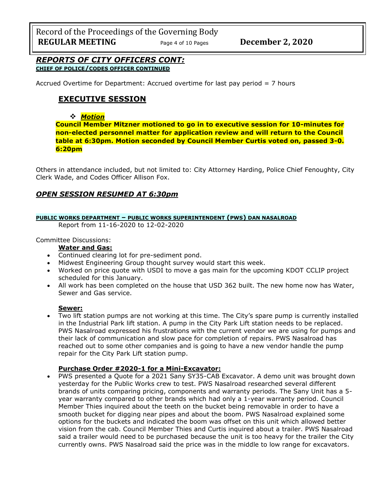Record of the Proceedings of the Governing Body **REGULAR MEETING** Page <sup>4</sup> of 10 Pages **December 2, 2020**

## *REPORTS OF CITY OFFICERS CONT:* **CHIEF OF POLICE/CODES OFFICER CONTINUED**

Accrued Overtime for Department: Accrued overtime for last pay period = 7 hours

# **EXECUTIVE SESSION**

### ❖ *Motion*

**Council Member Mitzner motioned to go in to executive session for 10-minutes for non-elected personnel matter for application review and will return to the Council table at 6:30pm. Motion seconded by Council Member Curtis voted on, passed 3-0. 6:20pm** 

Others in attendance included, but not limited to: City Attorney Harding, Police Chief Fenoughty, City Clerk Wade, and Codes Officer Allison Fox.

## *OPEN SESSION RESUMED AT 6:30pm*

### **PUBLIC WORKS DEPARTMENT – PUBLIC WORKS SUPERINTENDENT (PWS) DAN NASALROAD**

Report from 11-16-2020 to 12-02-2020

Committee Discussions:

#### **Water and Gas:**

- Continued clearing lot for pre-sediment pond.
- Midwest Engineering Group thought survey would start this week.
- Worked on price quote with USDI to move a gas main for the upcoming KDOT CCLIP project scheduled for this January.
- All work has been completed on the house that USD 362 built. The new home now has Water, Sewer and Gas service.

#### **Sewer:**

• Two lift station pumps are not working at this time. The City's spare pump is currently installed in the Industrial Park lift station. A pump in the City Park Lift station needs to be replaced. PWS Nasalroad expressed his frustrations with the current vendor we are using for pumps and their lack of communication and slow pace for completion of repairs. PWS Nasalroad has reached out to some other companies and is going to have a new vendor handle the pump repair for the City Park Lift station pump.

## **Purchase Order #2020-1 for a Mini-Excavator:**

• PWS presented a Quote for a 2021 Sany SY35-CAB Excavator. A demo unit was brought down yesterday for the Public Works crew to test. PWS Nasalroad researched several different brands of units comparing pricing, components and warranty periods. The Sany Unit has a 5 year warranty compared to other brands which had only a 1-year warranty period. Council Member Thies inquired about the teeth on the bucket being removable in order to have a smooth bucket for digging near pipes and about the boom. PWS Nasalroad explained some options for the buckets and indicated the boom was offset on this unit which allowed better vision from the cab. Council Member Thies and Curtis inquired about a trailer. PWS Nasalroad said a trailer would need to be purchased because the unit is too heavy for the trailer the City currently owns. PWS Nasalroad said the price was in the middle to low range for excavators.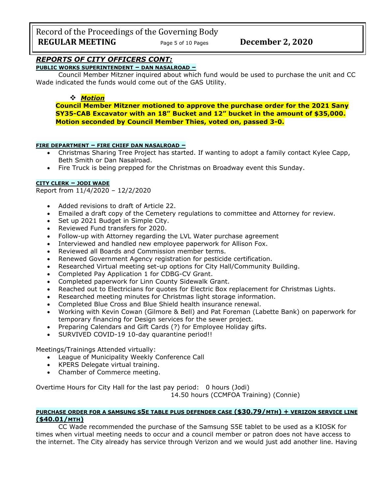Record of the Proceedings of the Governing Body **REGULAR MEETING** Page 5 of 10 Pages December 2, 2020

# *REPORTS OF CITY OFFICERS CONT:*

**PUBLIC WORKS SUPERINTENDENT – DAN NASALROAD –**

Council Member Mitzner inquired about which fund would be used to purchase the unit and CC Wade indicated the funds would come out of the GAS Utility.

## ❖ *Motion*

**Council Member Mitzner motioned to approve the purchase order for the 2021 Sany SY35-CAB Excavator with an 18" Bucket and 12" bucket in the amount of \$35,000. Motion seconded by Council Member Thies, voted on, passed 3-0.**

## **FIRE DEPARTMENT – FIRE CHIEF DAN NASALROAD –**

- Christmas Sharing Tree Project has started. If wanting to adopt a family contact Kylee Capp, Beth Smith or Dan Nasalroad.
- Fire Truck is being prepped for the Christmas on Broadway event this Sunday.

### **CITY CLERK – JODI WADE**

Report from 11/4/2020 – 12/2/2020

- Added revisions to draft of Article 22.
- Emailed a draft copy of the Cemetery regulations to committee and Attorney for review.
- Set up 2021 Budget in Simple City.
- Reviewed Fund transfers for 2020.
- Follow-up with Attorney regarding the LVL Water purchase agreement
- Interviewed and handled new employee paperwork for Allison Fox.
- Reviewed all Boards and Commission member terms.
- Renewed Government Agency registration for pesticide certification.
- Researched Virtual meeting set-up options for City Hall/Community Building.
- Completed Pay Application 1 for CDBG-CV Grant.
- Completed paperwork for Linn County Sidewalk Grant.
- Reached out to Electricians for quotes for Electric Box replacement for Christmas Lights.
- Researched meeting minutes for Christmas light storage information.
- Completed Blue Cross and Blue Shield health insurance renewal.
- Working with Kevin Cowan (Gilmore & Bell) and Pat Foreman (Labette Bank) on paperwork for temporary financing for Design services for the sewer project.
- Preparing Calendars and Gift Cards (?) for Employee Holiday gifts.
- SURVIVED COVID-19 10-day quarantine period!!

Meetings/Trainings Attended virtually:

- League of Municipality Weekly Conference Call
- KPERS Delegate virtual training.
- Chamber of Commerce meeting.

Overtime Hours for City Hall for the last pay period: 0 hours (Jodi) 14.50 hours (CCMFOA Training) (Connie)

### **PURCHASE ORDER FOR A SAMSUNG S5E TABLE PLUS DEFENDER CASE (\$30.79/MTH) + VERIZON SERVICE LINE (\$40.01/MTH)**

CC Wade recommended the purchase of the Samsung S5E tablet to be used as a KIOSK for times when virtual meeting needs to occur and a council member or patron does not have access to the internet. The City already has service through Verizon and we would just add another line. Having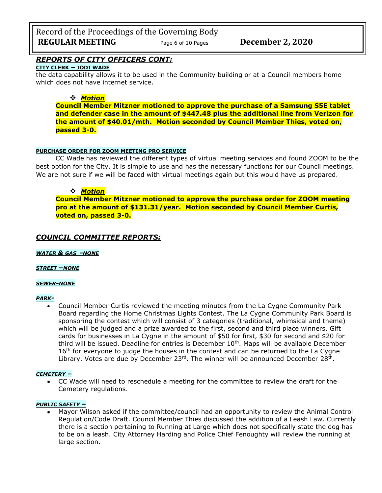Record of the Proceedings of the Governing Body **REGULAR MEETING** Page 6 of 10 Pages **December 2, 2020** 

# *REPORTS OF CITY OFFICERS CONT:*

## **CITY CLERK – JODI WADE**

the data capability allows it to be used in the Community building or at a Council members home which does not have internet service.

## ❖ *Motion*

**Council Member Mitzner motioned to approve the purchase of a Samsung S5E tablet and defender case in the amount of \$447.48 plus the additional line from Verizon for the amount of \$40.01/mth. Motion seconded by Council Member Thies, voted on, passed 3-0.**

## **PURCHASE ORDER FOR ZOOM MEETING PRO SERVICE**

CC Wade has reviewed the different types of virtual meeting services and found ZOOM to be the best option for the City. It is simple to use and has the necessary functions for our Council meetings. We are not sure if we will be faced with virtual meetings again but this would have us prepared.

# ❖ *Motion*

**Council Member Mitzner motioned to approve the purchase order for ZOOM meeting pro at the amount of \$131.31/year. Motion seconded by Council Member Curtis, voted on, passed 3-0.**

# *COUNCIL COMMITTEE REPORTS:*

*WATER & GAS -NONE*

## *STREET –NONE*

#### *SEWER-NONE*

#### *PARK-*

• Council Member Curtis reviewed the meeting minutes from the La Cygne Community Park Board regarding the Home Christmas Lights Contest. The La Cygne Community Park Board is sponsoring the contest which will consist of 3 categories (traditional, whimsical and theme) which will be judged and a prize awarded to the first, second and third place winners. Gift cards for businesses in La Cygne in the amount of \$50 for first, \$30 for second and \$20 for third will be issued. Deadline for entries is December  $10<sup>th</sup>$ . Maps will be available December  $16<sup>th</sup>$  for everyone to judge the houses in the contest and can be returned to the La Cygne Library. Votes are due by December 23<sup>rd</sup>. The winner will be announced December 28<sup>th</sup>.

## *CEMETERY –*

• CC Wade will need to reschedule a meeting for the committee to review the draft for the Cemetery regulations.

#### *PUBLIC SAFETY –*

• Mayor Wilson asked if the committee/council had an opportunity to review the Animal Control Regulation/Code Draft. Council Member Thies discussed the addition of a Leash Law. Currently there is a section pertaining to Running at Large which does not specifically state the dog has to be on a leash. City Attorney Harding and Police Chief Fenoughty will review the running at large section.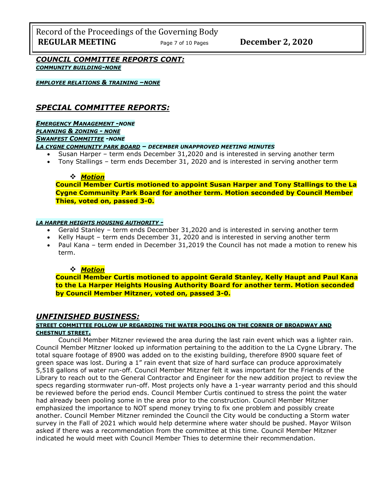Record of the Proceedings of the Governing Body **REGULAR MEETING** Page <sup>7</sup> of 10 Pages **December 2, 2020**

*COUNCIL COMMITTEE REPORTS CONT: COMMUNITY BUILDING-NONE*

*EMPLOYEE RELATIONS & TRAINING –NONE*

# *SPECIAL COMMITTEE REPORTS:*

*EMERGENCY MANAGEMENT -NONE PLANNING & ZONING - NONE SWANFEST COMMITTEE -NONE*

*LA CYGNE COMMUNITY PARK BOARD – DECEMBER UNAPPROVED MEETING MINUTES*

- Susan Harper term ends December 31,2020 and is interested in serving another term
- Tony Stallings term ends December 31, 2020 and is interested in serving another term

#### ❖ *Motion*

**Council Member Curtis motioned to appoint Susan Harper and Tony Stallings to the La Cygne Community Park Board for another term. Motion seconded by Council Member Thies, voted on, passed 3-0.**

#### *LA HARPER HEIGHTS HOUSING AUTHORITY -*

- Gerald Stanley term ends December 31,2020 and is interested in serving another term
- Kelly Haupt term ends December 31, 2020 and is interested in serving another term
- Paul Kana term ended in December 31,2019 the Council has not made a motion to renew his term.

## ❖ *Motion*

**Council Member Curtis motioned to appoint Gerald Stanley, Kelly Haupt and Paul Kana to the La Harper Heights Housing Authority Board for another term. Motion seconded by Council Member Mitzner, voted on, passed 3-0.**

# *UNFINISHED BUSINESS:*

## **STREET COMMITTEE FOLLOW UP REGARDING THE WATER POOLING ON THE CORNER OF BROADWAY AND CHESTNUT STREET.**

Council Member Mitzner reviewed the area during the last rain event which was a lighter rain. Council Member Mitzner looked up information pertaining to the addition to the La Cygne Library. The total square footage of 8900 was added on to the existing building, therefore 8900 square feet of green space was lost. During a 1" rain event that size of hard surface can produce approximately 5,518 gallons of water run-off. Council Member Mitzner felt it was important for the Friends of the Library to reach out to the General Contractor and Engineer for the new addition project to review the specs regarding stormwater run-off. Most projects only have a 1-year warranty period and this should be reviewed before the period ends. Council Member Curtis continued to stress the point the water had already been pooling some in the area prior to the construction. Council Member Mitzner emphasized the importance to NOT spend money trying to fix one problem and possibly create another. Council Member Mitzner reminded the Council the City would be conducting a Storm water survey in the Fall of 2021 which would help determine where water should be pushed. Mayor Wilson asked if there was a recommendation from the committee at this time. Council Member Mitzner indicated he would meet with Council Member Thies to determine their recommendation.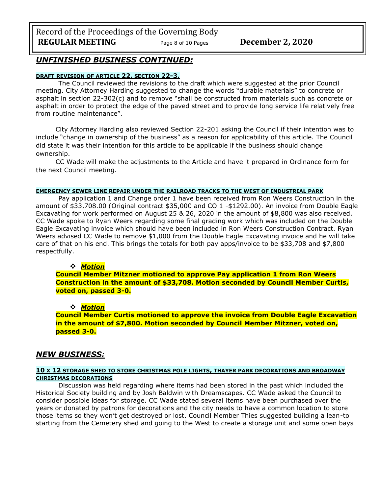Record of the Proceedings of the Governing Body **REGULAR MEETING** Page 8 of 10 Pages December 2, 2020

# *UNFINISHED BUSINESS CONTINUED:*

#### **DRAFT REVISION OF ARTICLE 22, SECTION 22-3.**

The Council reviewed the revisions to the draft which were suggested at the prior Council meeting. City Attorney Harding suggested to change the words "durable materials" to concrete or asphalt in section 22-302(c) and to remove "shall be constructed from materials such as concrete or asphalt in order to protect the edge of the paved street and to provide long service life relatively free from routine maintenance".

City Attorney Harding also reviewed Section 22-201 asking the Council if their intention was to include "change in ownership of the business" as a reason for applicability of this article. The Council did state it was their intention for this article to be applicable if the business should change ownership.

CC Wade will make the adjustments to the Article and have it prepared in Ordinance form for the next Council meeting.

#### **EMERGENCY SEWER LINE REPAIR UNDER THE RAILROAD TRACKS TO THE WEST OF INDUSTRIAL PARK**

Pay application 1 and Change order 1 have been received from Ron Weers Construction in the amount of \$33,708.00 (Original contract \$35,000 and CO 1 -\$1292.00). An invoice from Double Eagle Excavating for work performed on August 25 & 26, 2020 in the amount of \$8,800 was also received. CC Wade spoke to Ryan Weers regarding some final grading work which was included on the Double Eagle Excavating invoice which should have been included in Ron Weers Construction Contract. Ryan Weers advised CC Wade to remove \$1,000 from the Double Eagle Excavating invoice and he will take care of that on his end. This brings the totals for both pay apps/invoice to be \$33,708 and \$7,800 respectfully.

#### ❖ *Motion*

**Council Member Mitzner motioned to approve Pay application 1 from Ron Weers Construction in the amount of \$33,708. Motion seconded by Council Member Curtis, voted on, passed 3-0.**

#### ❖ *Motion*

**Council Member Curtis motioned to approve the invoice from Double Eagle Excavation in the amount of \$7,800. Motion seconded by Council Member Mitzner, voted on, passed 3-0.**

## *NEW BUSINESS:*

### **10 X 12 STORAGE SHED TO STORE CHRISTMAS POLE LIGHTS, THAYER PARK DECORATIONS AND BROADWAY CHRISTMAS DECORATIONS**

Discussion was held regarding where items had been stored in the past which included the Historical Society building and by Josh Baldwin with Dreamscapes. CC Wade asked the Council to consider possible ideas for storage. CC Wade stated several items have been purchased over the years or donated by patrons for decorations and the city needs to have a common location to store those items so they won't get destroyed or lost. Council Member Thies suggested building a lean-to starting from the Cemetery shed and going to the West to create a storage unit and some open bays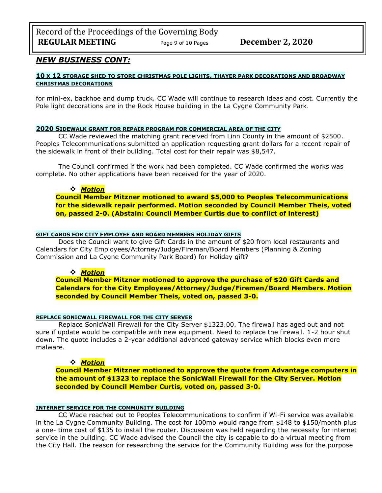# *NEW BUSINESS CONT:*

### **10 X 12 STORAGE SHED TO STORE CHRISTMAS POLE LIGHTS, THAYER PARK DECORATIONS AND BROADWAY CHRISTMAS DECORATIONS**

for mini-ex, backhoe and dump truck. CC Wade will continue to research ideas and cost. Currently the Pole light decorations are in the Rock House building in the La Cygne Community Park.

#### **2020 SIDEWALK GRANT FOR REPAIR PROGRAM FOR COMMERCIAL AREA OF THE CITY**

CC Wade reviewed the matching grant received from Linn County in the amount of \$2500. Peoples Telecommunications submitted an application requesting grant dollars for a recent repair of the sidewalk in front of their building. Total cost for their repair was \$8,547.

The Council confirmed if the work had been completed. CC Wade confirmed the works was complete. No other applications have been received for the year of 2020.

#### ❖ *Motion*

**Council Member Mitzner motioned to award \$5,000 to Peoples Telecommunications for the sidewalk repair performed. Motion seconded by Council Member Theis, voted on, passed 2-0. (Abstain: Council Member Curtis due to conflict of interest)**

#### **GIFT CARDS FOR CITY EMPLOYEE AND BOARD MEMBERS HOLIDAY GIFTS**

Does the Council want to give Gift Cards in the amount of \$20 from local restaurants and Calendars for City Employees/Attorney/Judge/Fireman/Board Members (Planning & Zoning Commission and La Cygne Community Park Board) for Holiday gift?

#### ❖ *Motion*

**Council Member Mitzner motioned to approve the purchase of \$20 Gift Cards and Calendars for the City Employees/Attorney/Judge/Firemen/Board Members. Motion seconded by Council Member Theis, voted on, passed 3-0.**

#### **REPLACE SONICWALL FIREWALL FOR THE CITY SERVER**

Replace SonicWall Firewall for the City Server \$1323.00. The firewall has aged out and not sure if update would be compatible with new equipment. Need to replace the firewall. 1-2 hour shut down. The quote includes a 2-year additional advanced gateway service which blocks even more malware.

#### ❖ *Motion*

**Council Member Mitzner motioned to approve the quote from Advantage computers in the amount of \$1323 to replace the SonicWall Firewall for the City Server. Motion seconded by Council Member Curtis, voted on, passed 3-0.**

#### **INTERNET SERVICE FOR THE COMMUNITY BUILDING**

CC Wade reached out to Peoples Telecommunications to confirm if Wi-Fi service was available in the La Cygne Community Building. The cost for 100mb would range from \$148 to \$150/month plus a one- time cost of \$135 to install the router. Discussion was held regarding the necessity for internet service in the building. CC Wade advised the Council the city is capable to do a virtual meeting from the City Hall. The reason for researching the service for the Community Building was for the purpose